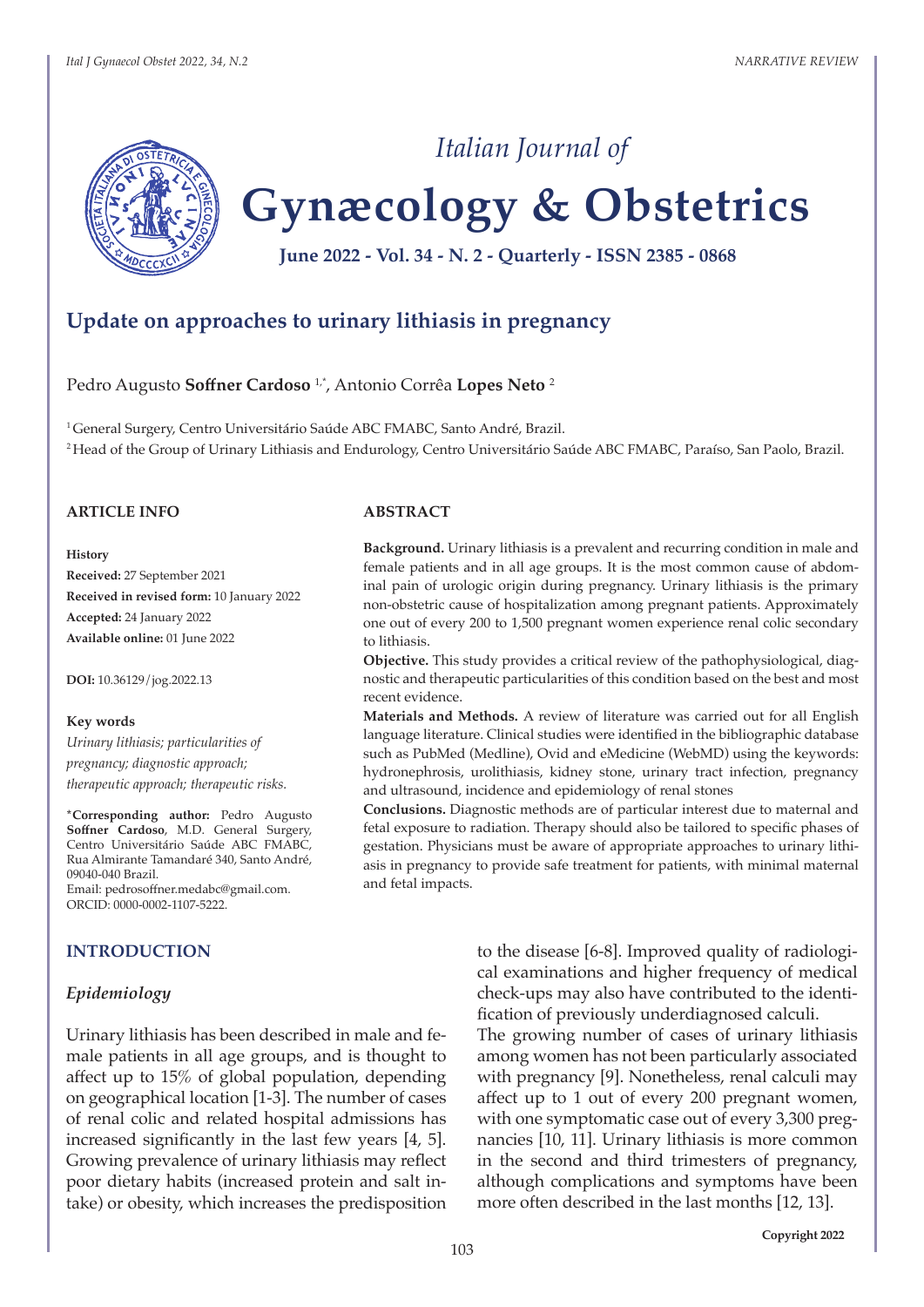

# **Gynæcology & Obstetrics**

*Italian Journal of*

**June 2022 - Vol. 34 - N. 2 - Quarterly - ISSN 2385 - 0868**

# **Update on approaches to urinary lithiasis in pregnancy**

#### Pedro Augusto **Soffner Cardoso** 1,\*, Antonio Corrêa **Lopes Neto** <sup>2</sup>

<sup>1</sup> General Surgery, Centro Universitário Saúde ABC FMABC, Santo André, Brazil. <sup>2</sup>Head of the Group of Urinary Lithiasis and Endurology, Centro Universitário Saúde ABC FMABC, Paraíso, San Paolo, Brazil.

## **ARTICLE INFO**

#### **History**

**Received:** 27 September 2021 **Received in revised form:** 10 January 2022 **Accepted:** 24 January 2022 **Available online:** 01 June 2022

**DOI:** 10.36129/jog.2022.13

#### **Key words**

*Urinary lithiasis; particularities of pregnancy; diagnostic approach; therapeutic approach; therapeutic risks.*

**\*Corresponding author:** Pedro Augusto **Soffner Cardoso**, M.D. General Surgery, Centro Universitário Saúde ABC FMABC, Rua Almirante Tamandaré 340, Santo André, 09040-040 Brazil. Email: pedrosoffner.medabc@gmail.com. ORCID: 0000-0002-1107-5222.

#### **INTRODUCTION**

#### *Epidemiology*

Urinary lithiasis has been described in male and female patients in all age groups, and is thought to affect up to 15% of global population, depending on geographical location [1-3]. The number of cases of renal colic and related hospital admissions has increased significantly in the last few years [4, 5]. Growing prevalence of urinary lithiasis may reflect poor dietary habits (increased protein and salt intake) or obesity, which increases the predisposition

#### **ABSTRACT**

**Background.** Urinary lithiasis is a prevalent and recurring condition in male and female patients and in all age groups. It is the most common cause of abdominal pain of urologic origin during pregnancy. Urinary lithiasis is the primary non-obstetric cause of hospitalization among pregnant patients. Approximately one out of every 200 to 1,500 pregnant women experience renal colic secondary to lithiasis.

**Objective.** This study provides a critical review of the pathophysiological, diagnostic and therapeutic particularities of this condition based on the best and most recent evidence.

**Materials and Methods.** A review of literature was carried out for all English language literature. Clinical studies were identified in the bibliographic database such as PubMed (Medline), Ovid and eMedicine (WebMD) using the keywords: hydronephrosis, urolithiasis, kidney stone, urinary tract infection, pregnancy and ultrasound, incidence and epidemiology of renal stones

**Conclusions.** Diagnostic methods are of particular interest due to maternal and fetal exposure to radiation. Therapy should also be tailored to specific phases of gestation. Physicians must be aware of appropriate approaches to urinary lithiasis in pregnancy to provide safe treatment for patients, with minimal maternal and fetal impacts.

> to the disease [6-8]. Improved quality of radiological examinations and higher frequency of medical check-ups may also have contributed to the identification of previously underdiagnosed calculi.

> The growing number of cases of urinary lithiasis among women has not been particularly associated with pregnancy [9]. Nonetheless, renal calculi may affect up to 1 out of every 200 pregnant women, with one symptomatic case out of every 3,300 pregnancies [10, 11]. Urinary lithiasis is more common in the second and third trimesters of pregnancy, although complications and symptoms have been more often described in the last months [12, 13].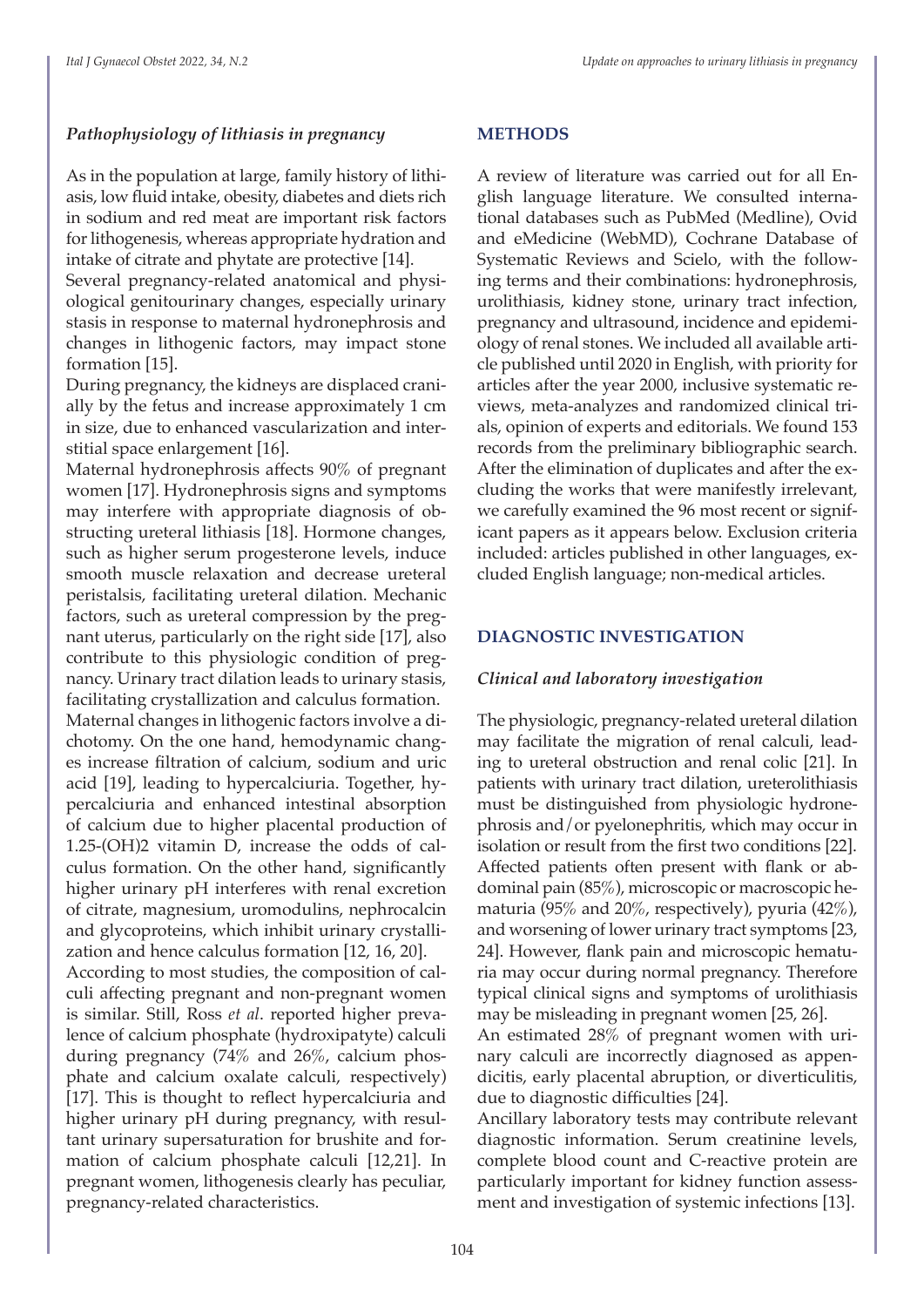# *Pathophysiology of lithiasis in pregnancy*

As in the population at large, family history of lithiasis, low fluid intake, obesity, diabetes and diets rich in sodium and red meat are important risk factors for lithogenesis, whereas appropriate hydration and intake of citrate and phytate are protective [14].

Several pregnancy-related anatomical and physiological genitourinary changes, especially urinary stasis in response to maternal hydronephrosis and changes in lithogenic factors, may impact stone formation [15].

During pregnancy, the kidneys are displaced cranially by the fetus and increase approximately 1 cm in size, due to enhanced vascularization and interstitial space enlargement [16].

Maternal hydronephrosis affects 90% of pregnant women [17]. Hydronephrosis signs and symptoms may interfere with appropriate diagnosis of obstructing ureteral lithiasis [18]. Hormone changes, such as higher serum progesterone levels, induce smooth muscle relaxation and decrease ureteral peristalsis, facilitating ureteral dilation. Mechanic factors, such as ureteral compression by the pregnant uterus, particularly on the right side [17], also contribute to this physiologic condition of pregnancy. Urinary tract dilation leads to urinary stasis, facilitating crystallization and calculus formation. Maternal changes in lithogenic factors involve a dichotomy. On the one hand, hemodynamic changes increase filtration of calcium, sodium and uric acid [19], leading to hypercalciuria. Together, hypercalciuria and enhanced intestinal absorption of calcium due to higher placental production of 1.25-(OH)2 vitamin D, increase the odds of calculus formation. On the other hand, significantly higher urinary pH interferes with renal excretion of citrate, magnesium, uromodulins, nephrocalcin and glycoproteins, which inhibit urinary crystallization and hence calculus formation [12, 16, 20].

According to most studies, the composition of calculi affecting pregnant and non-pregnant women is similar. Still, Ross *et al*. reported higher prevalence of calcium phosphate (hydroxipatyte) calculi during pregnancy (74% and 26%, calcium phosphate and calcium oxalate calculi, respectively) [17]. This is thought to reflect hypercalciuria and higher urinary pH during pregnancy, with resultant urinary supersaturation for brushite and formation of calcium phosphate calculi [12,21]. In pregnant women, lithogenesis clearly has peculiar, pregnancy-related characteristics.

## **METHODS**

A review of literature was carried out for all English language literature. We consulted international databases such as PubMed (Medline), Ovid and eMedicine (WebMD), Cochrane Database of Systematic Reviews and Scielo, with the following terms and their combinations: hydronephrosis, urolithiasis, kidney stone, urinary tract infection, pregnancy and ultrasound, incidence and epidemiology of renal stones. We included all available article published until 2020 in English, with priority for articles after the year 2000, inclusive systematic reviews, meta-analyzes and randomized clinical trials, opinion of experts and editorials. We found 153 records from the preliminary bibliographic search. After the elimination of duplicates and after the excluding the works that were manifestly irrelevant, we carefully examined the 96 most recent or significant papers as it appears below. Exclusion criteria included: articles published in other languages, excluded English language; non-medical articles.

# **DIAGNOSTIC INVESTIGATION**

## *Clinical and laboratory investigation*

The physiologic, pregnancy-related ureteral dilation may facilitate the migration of renal calculi, leading to ureteral obstruction and renal colic [21]. In patients with urinary tract dilation, ureterolithiasis must be distinguished from physiologic hydronephrosis and/or pyelonephritis, which may occur in isolation or result from the first two conditions [22]. Affected patients often present with flank or abdominal pain (85%), microscopic or macroscopic hematuria (95% and 20%, respectively), pyuria (42%), and worsening of lower urinary tract symptoms [23, 24]. However, flank pain and microscopic hematuria may occur during normal pregnancy. Therefore typical clinical signs and symptoms of urolithiasis may be misleading in pregnant women [25, 26].

An estimated 28% of pregnant women with urinary calculi are incorrectly diagnosed as appendicitis, early placental abruption, or diverticulitis, due to diagnostic difficulties [24].

Ancillary laboratory tests may contribute relevant diagnostic information. Serum creatinine levels, complete blood count and C-reactive protein are particularly important for kidney function assessment and investigation of systemic infections [13].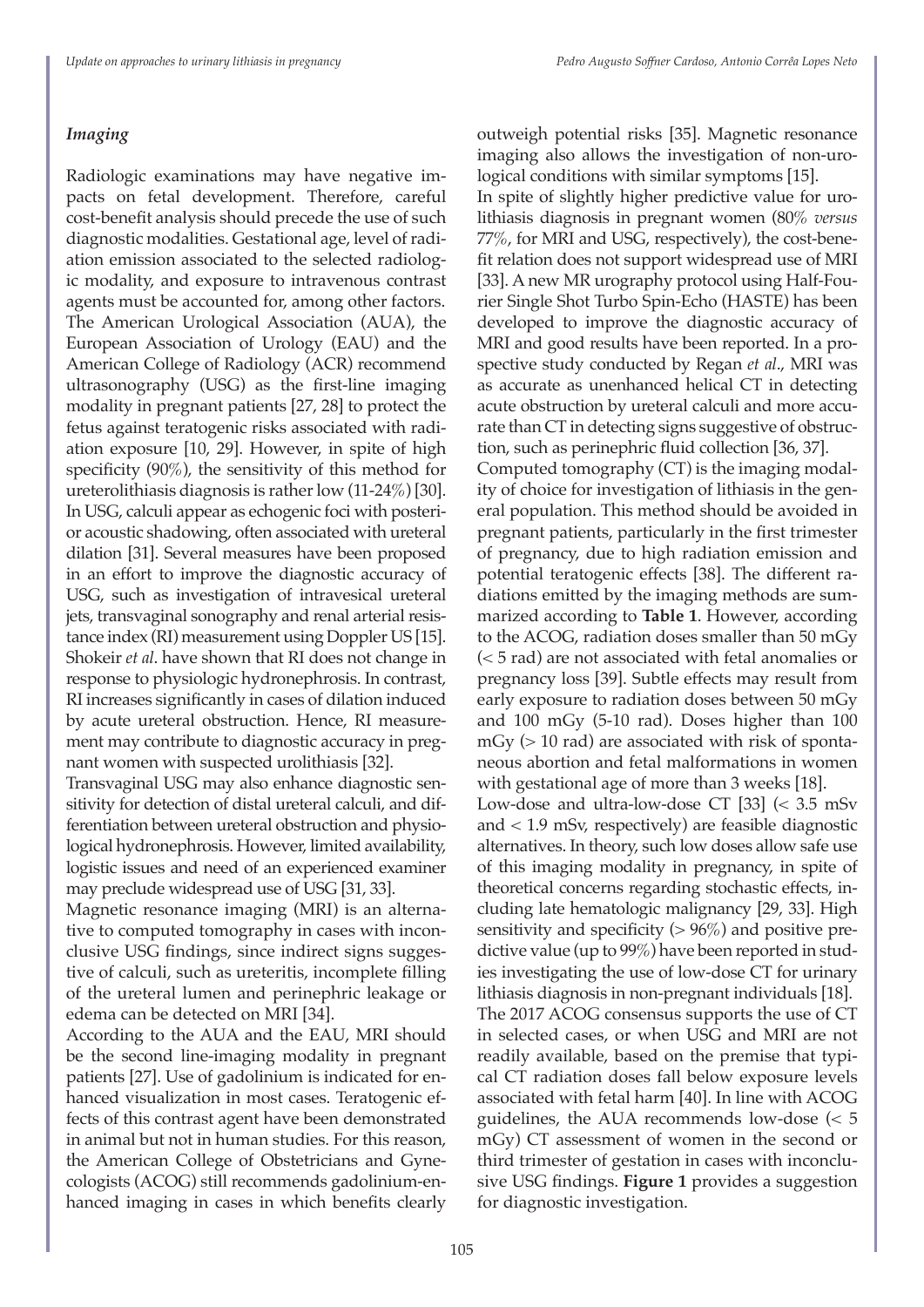# *Imaging*

Radiologic examinations may have negative impacts on fetal development. Therefore, careful cost-benefit analysis should precede the use of such diagnostic modalities. Gestational age, level of radiation emission associated to the selected radiologic modality, and exposure to intravenous contrast agents must be accounted for, among other factors. The American Urological Association (AUA), the European Association of Urology (EAU) and the American College of Radiology (ACR) recommend ultrasonography (USG) as the first-line imaging modality in pregnant patients [27, 28] to protect the fetus against teratogenic risks associated with radiation exposure [10, 29]. However, in spite of high specificity (90%), the sensitivity of this method for ureterolithiasis diagnosis is rather low (11-24%) [30]. In USG, calculi appear as echogenic foci with posterior acoustic shadowing, often associated with ureteral dilation [31]. Several measures have been proposed in an effort to improve the diagnostic accuracy of USG, such as investigation of intravesical ureteral jets, transvaginal sonography and renal arterial resistance index (RI) measurement using Doppler US [15]. Shokeir *et al*. have shown that RI does not change in response to physiologic hydronephrosis. In contrast, RI increases significantly in cases of dilation induced by acute ureteral obstruction. Hence, RI measurement may contribute to diagnostic accuracy in pregnant women with suspected urolithiasis [32].

Transvaginal USG may also enhance diagnostic sensitivity for detection of distal ureteral calculi, and differentiation between ureteral obstruction and physiological hydronephrosis. However, limited availability, logistic issues and need of an experienced examiner may preclude widespread use of USG [31, 33].

Magnetic resonance imaging (MRI) is an alternative to computed tomography in cases with inconclusive USG findings, since indirect signs suggestive of calculi, such as ureteritis, incomplete filling of the ureteral lumen and perinephric leakage or edema can be detected on MRI [34].

According to the AUA and the EAU, MRI should be the second line-imaging modality in pregnant patients [27]. Use of gadolinium is indicated for enhanced visualization in most cases. Teratogenic effects of this contrast agent have been demonstrated in animal but not in human studies. For this reason, the American College of Obstetricians and Gynecologists (ACOG) still recommends gadolinium-enhanced imaging in cases in which benefits clearly

outweigh potential risks [35]. Magnetic resonance imaging also allows the investigation of non-urological conditions with similar symptoms [15].

In spite of slightly higher predictive value for urolithiasis diagnosis in pregnant women (80% *versus* 77%, for MRI and USG, respectively), the cost-benefit relation does not support widespread use of MRI [33]. A new MR urography protocol using Half-Fourier Single Shot Turbo Spin-Echo (HASTE) has been developed to improve the diagnostic accuracy of MRI and good results have been reported. In a prospective study conducted by Regan *et al*., MRI was as accurate as unenhanced helical CT in detecting acute obstruction by ureteral calculi and more accurate than CT in detecting signs suggestive of obstruction, such as perinephric fluid collection [36, 37].

Computed tomography (CT) is the imaging modality of choice for investigation of lithiasis in the general population. This method should be avoided in pregnant patients, particularly in the first trimester of pregnancy, due to high radiation emission and potential teratogenic effects [38]. The different radiations emitted by the imaging methods are summarized according to **Table 1**. However, according to the ACOG, radiation doses smaller than 50 mGy (< 5 rad) are not associated with fetal anomalies or pregnancy loss [39]. Subtle effects may result from early exposure to radiation doses between 50 mGy and 100 mGy (5-10 rad). Doses higher than 100 mGy (> 10 rad) are associated with risk of spontaneous abortion and fetal malformations in women with gestational age of more than 3 weeks [18].

Low-dose and ultra-low-dose CT [33] (< 3.5 mSv and < 1.9 mSv, respectively) are feasible diagnostic alternatives. In theory, such low doses allow safe use of this imaging modality in pregnancy, in spite of theoretical concerns regarding stochastic effects, including late hematologic malignancy [29, 33]. High sensitivity and specificity  $(> 96\%)$  and positive predictive value (up to 99%) have been reported in studies investigating the use of low-dose CT for urinary lithiasis diagnosis in non-pregnant individuals [18]. The 2017 ACOG consensus supports the use of CT in selected cases, or when USG and MRI are not readily available, based on the premise that typical CT radiation doses fall below exposure levels associated with fetal harm [40]. In line with ACOG guidelines, the AUA recommends low-dose  $\leq 5$ mGy) CT assessment of women in the second or third trimester of gestation in cases with inconclusive USG findings. **Figure 1** provides a suggestion for diagnostic investigation.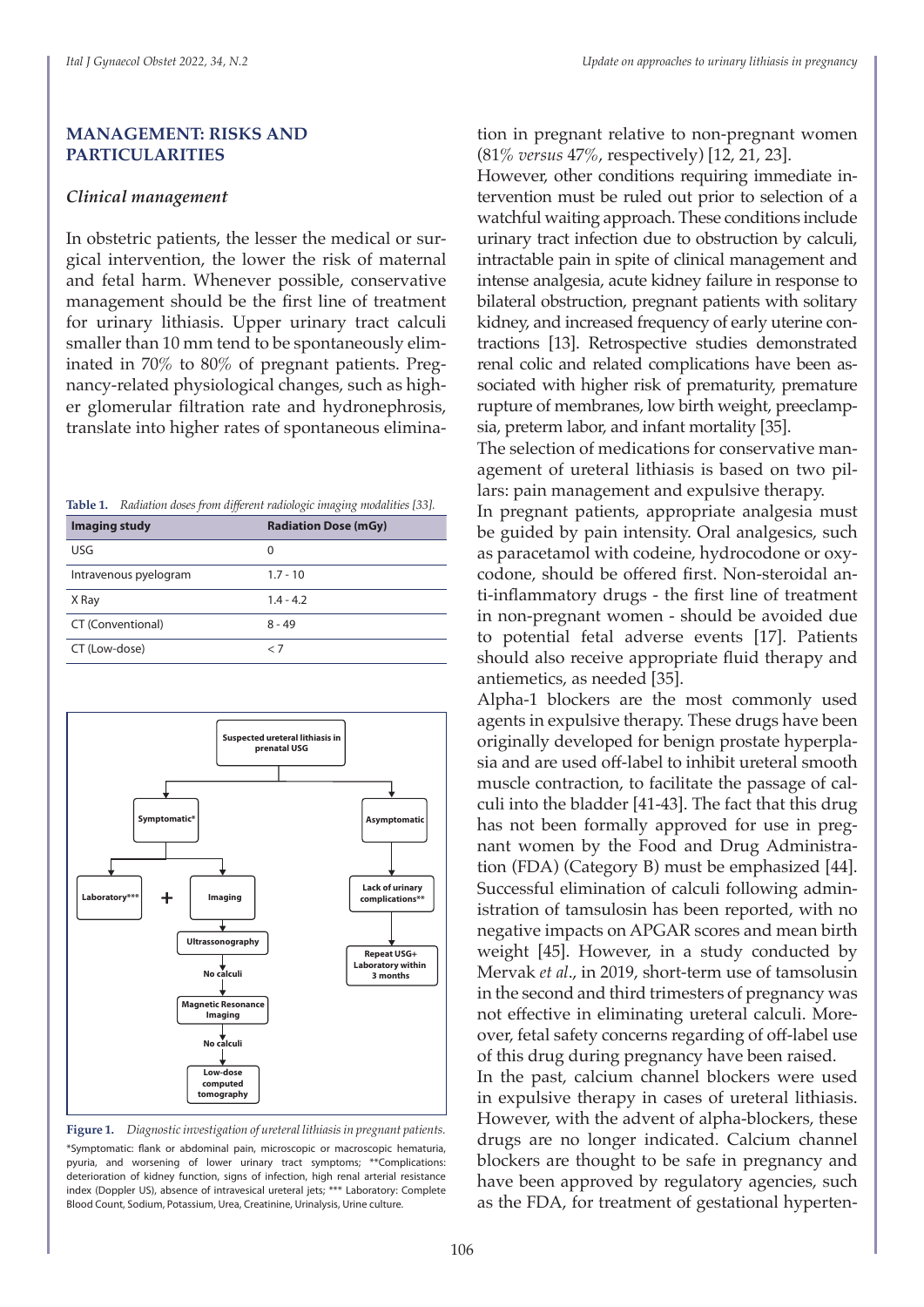#### **MANAGEMENT: RISKS AND PARTICULARITIES**

#### *Clinical management*

In obstetric patients, the lesser the medical or surgical intervention, the lower the risk of maternal and fetal harm. Whenever possible, conservative management should be the first line of treatment for urinary lithiasis. Upper urinary tract calculi smaller than 10 mm tend to be spontaneously eliminated in 70% to 80% of pregnant patients. Pregnancy-related physiological changes, such as higher glomerular filtration rate and hydronephrosis, translate into higher rates of spontaneous elimina-

| Table 1. | Radiation doses from different radiologic imaging modalities [33]. |  |  |  |  |  |
|----------|--------------------------------------------------------------------|--|--|--|--|--|
|----------|--------------------------------------------------------------------|--|--|--|--|--|

| Imaging study         | <b>Radiation Dose (mGy)</b> |
|-----------------------|-----------------------------|
| <b>USG</b>            | 0                           |
| Intravenous pyelogram | $1.7 - 10$                  |
| X Ray                 | $1.4 - 4.2$                 |
| CT (Conventional)     | $8 - 49$                    |
| CT (Low-dose)         | < 7                         |



**Figure 1.** *Diagnostic investigation of ureteral lithiasis in pregnant patients.* \*Symptomatic: flank or abdominal pain, microscopic or macroscopic hematuria, pyuria, and worsening of lower urinary tract symptoms; \*\*Complications: deterioration of kidney function, signs of infection, high renal arterial resistance index (Doppler US), absence of intravesical ureteral jets; \*\*\* Laboratory: Complete Blood Count, Sodium, Potassium, Urea, Creatinine, Urinalysis, Urine culture.

tion in pregnant relative to non-pregnant women (81% *versus* 47%, respectively) [12, 21, 23].

However, other conditions requiring immediate intervention must be ruled out prior to selection of a watchful waiting approach. These conditions include urinary tract infection due to obstruction by calculi, intractable pain in spite of clinical management and intense analgesia, acute kidney failure in response to bilateral obstruction, pregnant patients with solitary kidney, and increased frequency of early uterine contractions [13]. Retrospective studies demonstrated renal colic and related complications have been associated with higher risk of prematurity, premature rupture of membranes, low birth weight, preeclampsia, preterm labor, and infant mortality [35].

The selection of medications for conservative management of ureteral lithiasis is based on two pillars: pain management and expulsive therapy.

In pregnant patients, appropriate analgesia must be guided by pain intensity. Oral analgesics, such as paracetamol with codeine, hydrocodone or oxycodone, should be offered first. Non-steroidal anti-inflammatory drugs - the first line of treatment in non-pregnant women - should be avoided due to potential fetal adverse events [17]. Patients should also receive appropriate fluid therapy and antiemetics, as needed [35].

Alpha-1 blockers are the most commonly used agents in expulsive therapy. These drugs have been originally developed for benign prostate hyperplasia and are used off-label to inhibit ureteral smooth muscle contraction, to facilitate the passage of calculi into the bladder [41-43]. The fact that this drug has not been formally approved for use in pregnant women by the Food and Drug Administration (FDA) (Category B) must be emphasized [44]. Successful elimination of calculi following administration of tamsulosin has been reported, with no negative impacts on APGAR scores and mean birth weight [45]. However, in a study conducted by Mervak *et al*., in 2019, short-term use of tamsolusin in the second and third trimesters of pregnancy was not effective in eliminating ureteral calculi. Moreover, fetal safety concerns regarding of off-label use of this drug during pregnancy have been raised.

In the past, calcium channel blockers were used in expulsive therapy in cases of ureteral lithiasis. However, with the advent of alpha-blockers, these drugs are no longer indicated. Calcium channel blockers are thought to be safe in pregnancy and have been approved by regulatory agencies, such as the FDA, for treatment of gestational hyperten-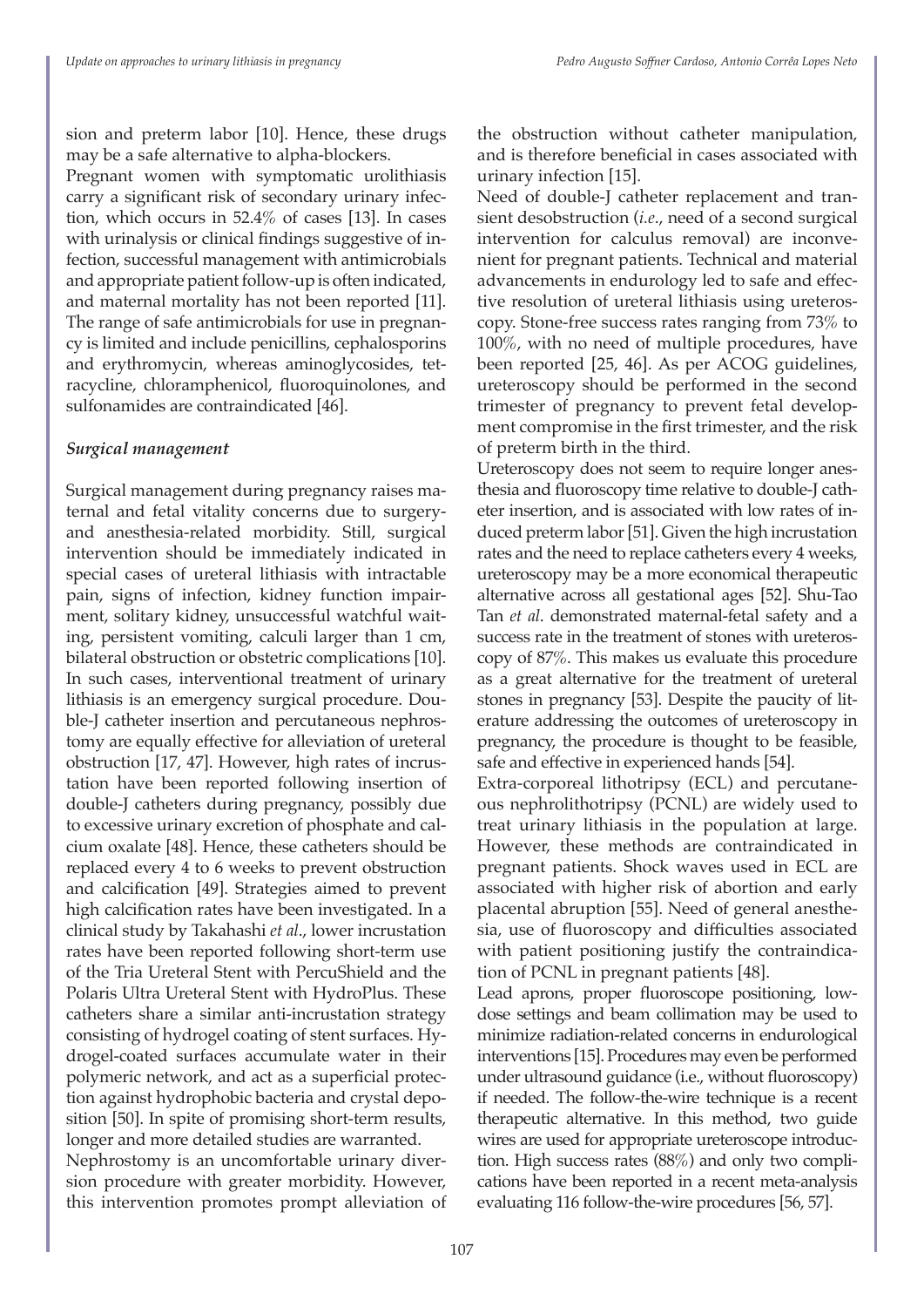sion and preterm labor [10]. Hence, these drugs may be a safe alternative to alpha-blockers.

Pregnant women with symptomatic urolithiasis carry a significant risk of secondary urinary infection, which occurs in 52.4% of cases [13]. In cases with urinalysis or clinical findings suggestive of infection, successful management with antimicrobials and appropriate patient follow-up is often indicated, and maternal mortality has not been reported [11]. The range of safe antimicrobials for use in pregnancy is limited and include penicillins, cephalosporins and erythromycin, whereas aminoglycosides, tetracycline, chloramphenicol, fluoroquinolones, and sulfonamides are contraindicated [46].

## *Surgical management*

Surgical management during pregnancy raises maternal and fetal vitality concerns due to surgeryand anesthesia-related morbidity. Still, surgical intervention should be immediately indicated in special cases of ureteral lithiasis with intractable pain, signs of infection, kidney function impairment, solitary kidney, unsuccessful watchful waiting, persistent vomiting, calculi larger than 1 cm, bilateral obstruction or obstetric complications [10]. In such cases, interventional treatment of urinary lithiasis is an emergency surgical procedure. Double-J catheter insertion and percutaneous nephrostomy are equally effective for alleviation of ureteral obstruction [17, 47]. However, high rates of incrustation have been reported following insertion of double-J catheters during pregnancy, possibly due to excessive urinary excretion of phosphate and calcium oxalate [48]. Hence, these catheters should be replaced every 4 to 6 weeks to prevent obstruction and calcification [49]. Strategies aimed to prevent high calcification rates have been investigated. In a clinical study by Takahashi *et al*., lower incrustation rates have been reported following short-term use of the Tria Ureteral Stent with PercuShield and the Polaris Ultra Ureteral Stent with HydroPlus. These catheters share a similar anti-incrustation strategy consisting of hydrogel coating of stent surfaces. Hydrogel-coated surfaces accumulate water in their polymeric network, and act as a superficial protection against hydrophobic bacteria and crystal deposition [50]. In spite of promising short-term results, longer and more detailed studies are warranted. Nephrostomy is an uncomfortable urinary diversion procedure with greater morbidity. However, this intervention promotes prompt alleviation of

the obstruction without catheter manipulation, and is therefore beneficial in cases associated with urinary infection [15].

Need of double-J catheter replacement and transient desobstruction (*i.e*., need of a second surgical intervention for calculus removal) are inconvenient for pregnant patients. Technical and material advancements in endurology led to safe and effective resolution of ureteral lithiasis using ureteroscopy. Stone-free success rates ranging from 73% to 100%, with no need of multiple procedures, have been reported [25, 46]. As per ACOG guidelines, ureteroscopy should be performed in the second trimester of pregnancy to prevent fetal development compromise in the first trimester, and the risk of preterm birth in the third.

Ureteroscopy does not seem to require longer anesthesia and fluoroscopy time relative to double-J catheter insertion, and is associated with low rates of induced preterm labor [51]. Given the high incrustation rates and the need to replace catheters every 4 weeks, ureteroscopy may be a more economical therapeutic alternative across all gestational ages [52]. Shu-Tao Tan *et al*. demonstrated maternal-fetal safety and a success rate in the treatment of stones with ureteroscopy of 87%. This makes us evaluate this procedure as a great alternative for the treatment of ureteral stones in pregnancy [53]. Despite the paucity of literature addressing the outcomes of ureteroscopy in pregnancy, the procedure is thought to be feasible, safe and effective in experienced hands [54].

Extra-corporeal lithotripsy (ECL) and percutaneous nephrolithotripsy (PCNL) are widely used to treat urinary lithiasis in the population at large. However, these methods are contraindicated in pregnant patients. Shock waves used in ECL are associated with higher risk of abortion and early placental abruption [55]. Need of general anesthesia, use of fluoroscopy and difficulties associated with patient positioning justify the contraindication of PCNL in pregnant patients [48].

Lead aprons, proper fluoroscope positioning, lowdose settings and beam collimation may be used to minimize radiation-related concerns in endurological interventions [15]. Procedures may even be performed under ultrasound guidance (i.e., without fluoroscopy) if needed. The follow-the-wire technique is a recent therapeutic alternative. In this method, two guide wires are used for appropriate ureteroscope introduction. High success rates (88%) and only two complications have been reported in a recent meta-analysis evaluating 116 follow-the-wire procedures [56, 57].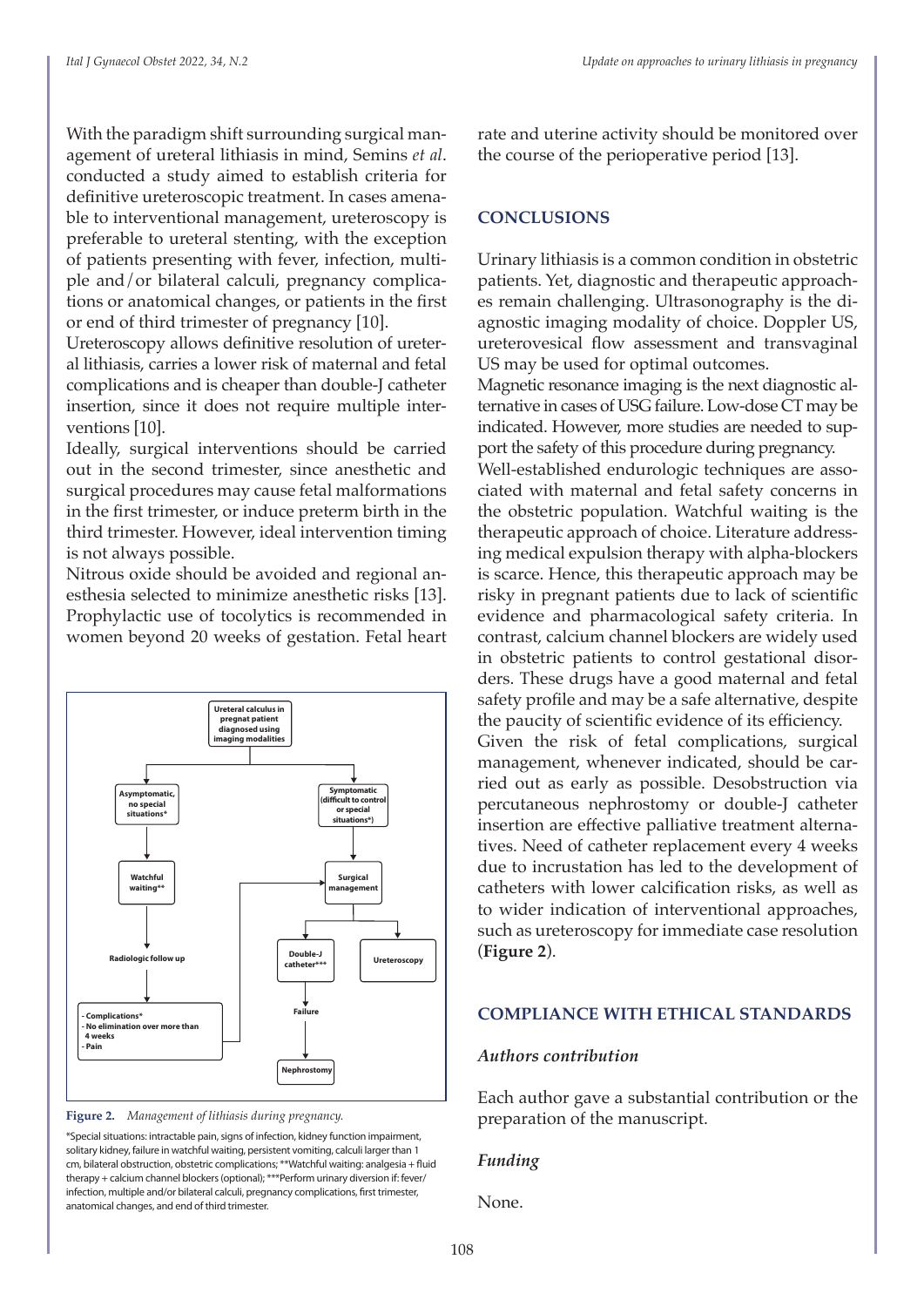With the paradigm shift surrounding surgical management of ureteral lithiasis in mind, Semins *et al*. conducted a study aimed to establish criteria for definitive ureteroscopic treatment. In cases amenable to interventional management, ureteroscopy is preferable to ureteral stenting, with the exception of patients presenting with fever, infection, multiple and/or bilateral calculi, pregnancy complications or anatomical changes, or patients in the first or end of third trimester of pregnancy [10].

Ureteroscopy allows definitive resolution of ureteral lithiasis, carries a lower risk of maternal and fetal complications and is cheaper than double-J catheter insertion, since it does not require multiple interventions [10].

Ideally, surgical interventions should be carried out in the second trimester, since anesthetic and surgical procedures may cause fetal malformations in the first trimester, or induce preterm birth in the third trimester. However, ideal intervention timing is not always possible.

Nitrous oxide should be avoided and regional anesthesia selected to minimize anesthetic risks [13]. Prophylactic use of tocolytics is recommended in women beyond 20 weeks of gestation. Fetal heart



**Figure 2.** *Management of lithiasis during pregnancy.*

\*Special situations: intractable pain, signs of infection, kidney function impairment, solitary kidney, failure in watchful waiting, persistent vomiting, calculi larger than 1 cm, bilateral obstruction, obstetric complications; \*\*Watchful waiting: analgesia + fluid therapy + calcium channel blockers (optional); \*\*\*Perform urinary diversion if: fever/ infection, multiple and/or bilateral calculi, pregnancy complications, first trimester, anatomical changes, and end of third trimester.

rate and uterine activity should be monitored over the course of the perioperative period [13].

#### **CONCLUSIONS**

Urinary lithiasis is a common condition in obstetric patients. Yet, diagnostic and therapeutic approaches remain challenging. Ultrasonography is the diagnostic imaging modality of choice. Doppler US, ureterovesical flow assessment and transvaginal US may be used for optimal outcomes.

Magnetic resonance imaging is the next diagnostic alternative in cases of USG failure. Low-dose CT may be indicated. However, more studies are needed to support the safety of this procedure during pregnancy.

Well-established endurologic techniques are associated with maternal and fetal safety concerns in the obstetric population. Watchful waiting is the therapeutic approach of choice. Literature addressing medical expulsion therapy with alpha-blockers is scarce. Hence, this therapeutic approach may be risky in pregnant patients due to lack of scientific evidence and pharmacological safety criteria. In contrast, calcium channel blockers are widely used in obstetric patients to control gestational disorders. These drugs have a good maternal and fetal safety profile and may be a safe alternative, despite the paucity of scientific evidence of its efficiency.

Given the risk of fetal complications, surgical management, whenever indicated, should be carried out as early as possible. Desobstruction via percutaneous nephrostomy or double-J catheter insertion are effective palliative treatment alternatives. Need of catheter replacement every 4 weeks due to incrustation has led to the development of catheters with lower calcification risks, as well as to wider indication of interventional approaches, such as ureteroscopy for immediate case resolution (**Figure 2**).

#### **COMPLIANCE WITH ETHICAL STANDARDS**

#### *Authors contribution*

Each author gave a substantial contribution or the preparation of the manuscript.

#### *Funding*

None.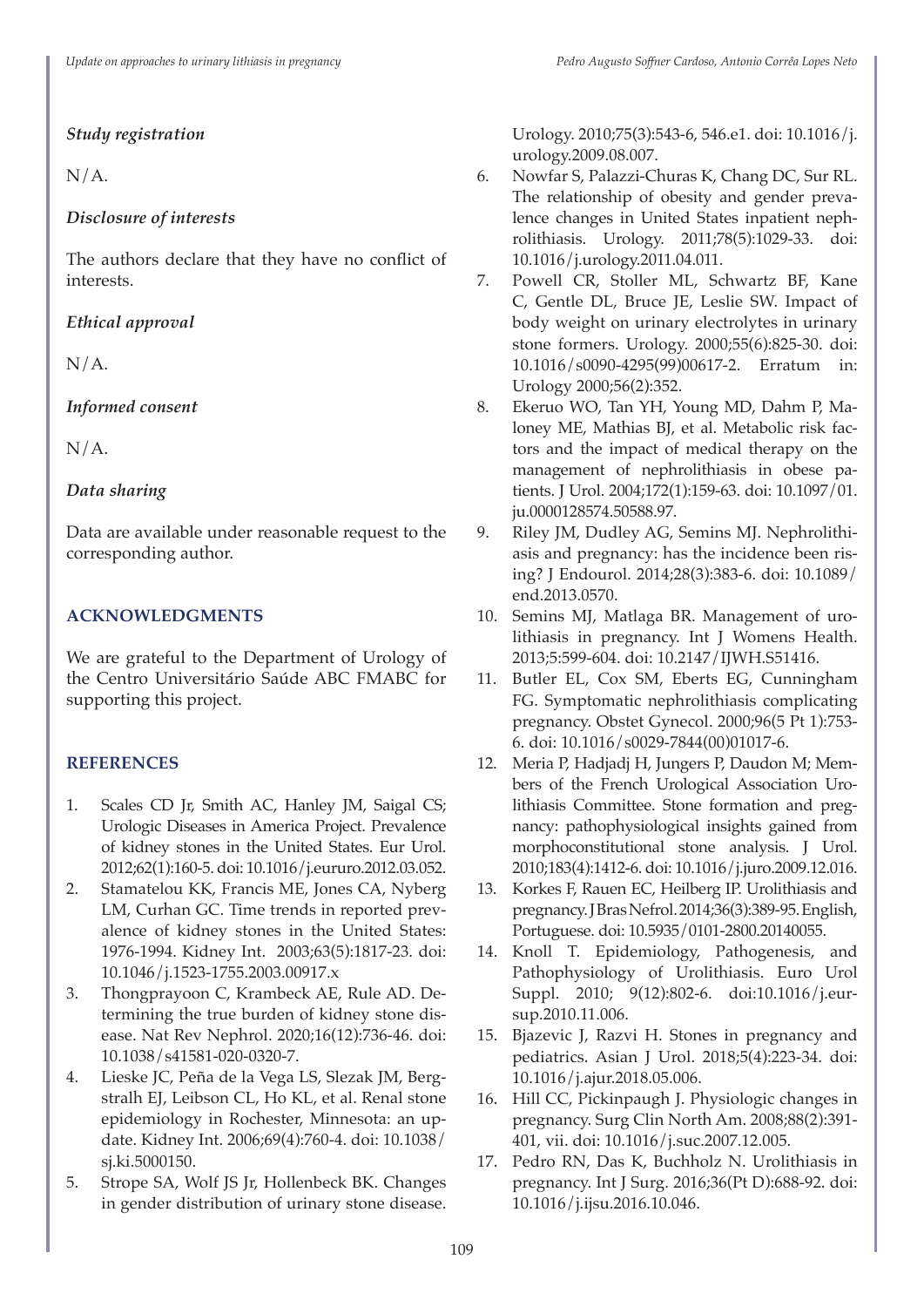# *Study registration*

 $N/A$ .

# *Disclosure of interests*

The authors declare that they have no conflict of interests.

*Ethical approval*

N/A.

# *Informed consent*

 $N/A$ .

# *Data sharing*

Data are available under reasonable request to the corresponding author.

# **ACKNOWLEDGMENTS**

We are grateful to the Department of Urology of the Centro Universitário Saúde ABC FMABC for supporting this project.

# **REFERENCES**

- 1. Scales CD Jr, Smith AC, Hanley JM, Saigal CS; Urologic Diseases in America Project. Prevalence of kidney stones in the United States. Eur Urol. 2012;62(1):160-5. doi: 10.1016/j.eururo.2012.03.052.
- 2. Stamatelou KK, Francis ME, Jones CA, Nyberg LM, Curhan GC. Time trends in reported prevalence of kidney stones in the United States: 1976-1994. Kidney Int. 2003;63(5):1817-23. doi: 10.1046/j.1523-1755.2003.00917.x
- 3. Thongprayoon C, Krambeck AE, Rule AD. Determining the true burden of kidney stone disease. Nat Rev Nephrol. 2020;16(12):736-46. doi: 10.1038/s41581-020-0320-7.
- 4. Lieske JC, Peña de la Vega LS, Slezak JM, Bergstralh EJ, Leibson CL, Ho KL, et al. Renal stone epidemiology in Rochester, Minnesota: an update. Kidney Int. 2006;69(4):760-4. doi: 10.1038/ sj.ki.5000150.
- 5. Strope SA, Wolf JS Jr, Hollenbeck BK. Changes in gender distribution of urinary stone disease.

Urology. 2010;75(3):543-6, 546.e1. doi: 10.1016/j. urology.2009.08.007.

- 6. Nowfar S, Palazzi-Churas K, Chang DC, Sur RL. The relationship of obesity and gender prevalence changes in United States inpatient nephrolithiasis. Urology. 2011;78(5):1029-33. doi: 10.1016/j.urology.2011.04.011.
- 7. Powell CR, Stoller ML, Schwartz BF, Kane C, Gentle DL, Bruce JE, Leslie SW. Impact of body weight on urinary electrolytes in urinary stone formers. Urology. 2000;55(6):825-30. doi: 10.1016/s0090-4295(99)00617-2. Erratum in: Urology 2000;56(2):352.
- 8. Ekeruo WO, Tan YH, Young MD, Dahm P, Maloney ME, Mathias BJ, et al. Metabolic risk factors and the impact of medical therapy on the management of nephrolithiasis in obese patients. J Urol. 2004;172(1):159-63. doi: 10.1097/01. ju.0000128574.50588.97.
- 9. Riley JM, Dudley AG, Semins MJ. Nephrolithiasis and pregnancy: has the incidence been rising? J Endourol. 2014;28(3):383-6. doi: 10.1089/ end.2013.0570.
- 10. Semins MJ, Matlaga BR. Management of urolithiasis in pregnancy. Int J Womens Health. 2013;5:599-604. doi: 10.2147/IJWH.S51416.
- 11. Butler EL, Cox SM, Eberts EG, Cunningham FG. Symptomatic nephrolithiasis complicating pregnancy. Obstet Gynecol. 2000;96(5 Pt 1):753- 6. doi: 10.1016/s0029-7844(00)01017-6.
- 12. Meria P, Hadjadj H, Jungers P, Daudon M; Members of the French Urological Association Urolithiasis Committee. Stone formation and pregnancy: pathophysiological insights gained from morphoconstitutional stone analysis. J Urol. 2010;183(4):1412-6. doi: 10.1016/j.juro.2009.12.016.
- 13. Korkes F, Rauen EC, Heilberg IP. Urolithiasis and pregnancy. J Bras Nefrol. 2014;36(3):389-95. English, Portuguese. doi: 10.5935/0101-2800.20140055.
- 14. Knoll T. Epidemiology, Pathogenesis, and Pathophysiology of Urolithiasis. Euro Urol Suppl. 2010; 9(12):802-6. doi:10.1016/j.eursup.2010.11.006.
- 15. Bjazevic J, Razvi H. Stones in pregnancy and pediatrics. Asian J Urol. 2018;5(4):223-34. doi: 10.1016/j.ajur.2018.05.006.
- 16. Hill CC, Pickinpaugh J. Physiologic changes in pregnancy. Surg Clin North Am. 2008;88(2):391- 401, vii. doi: 10.1016/j.suc.2007.12.005.
- 17. Pedro RN, Das K, Buchholz N. Urolithiasis in pregnancy. Int J Surg. 2016;36(Pt D):688-92. doi: 10.1016/j.ijsu.2016.10.046.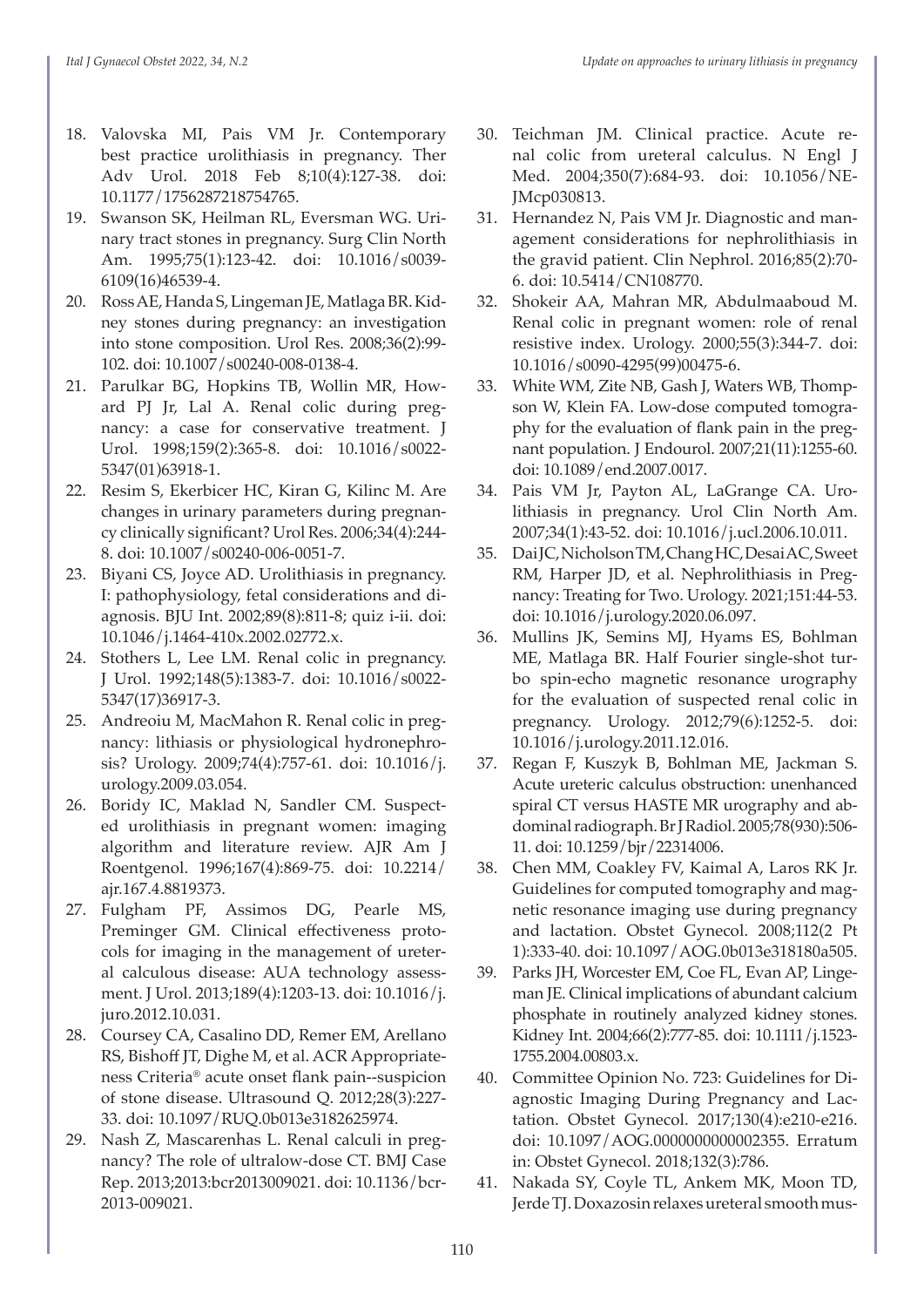- 18. Valovska MI, Pais VM Jr. Contemporary best practice urolithiasis in pregnancy. Ther Adv Urol. 2018 Feb 8;10(4):127-38. doi: 10.1177/1756287218754765.
- 19. Swanson SK, Heilman RL, Eversman WG. Urinary tract stones in pregnancy. Surg Clin North Am. 1995;75(1):123-42. doi: 10.1016/s0039- 6109(16)46539-4.
- 20. Ross AE, Handa S, Lingeman JE, Matlaga BR. Kidney stones during pregnancy: an investigation into stone composition. Urol Res. 2008;36(2):99- 102. doi: 10.1007/s00240-008-0138-4.
- 21. Parulkar BG, Hopkins TB, Wollin MR, Howard PJ Jr, Lal A. Renal colic during pregnancy: a case for conservative treatment. J Urol. 1998;159(2):365-8. doi: 10.1016/s0022- 5347(01)63918-1.
- 22. Resim S, Ekerbicer HC, Kiran G, Kilinc M. Are changes in urinary parameters during pregnancy clinically significant? Urol Res. 2006;34(4):244- 8. doi: 10.1007/s00240-006-0051-7.
- 23. Biyani CS, Joyce AD. Urolithiasis in pregnancy. I: pathophysiology, fetal considerations and diagnosis. BJU Int. 2002;89(8):811-8; quiz i-ii. doi: 10.1046/j.1464-410x.2002.02772.x.
- 24. Stothers L, Lee LM. Renal colic in pregnancy. J Urol. 1992;148(5):1383-7. doi: 10.1016/s0022- 5347(17)36917-3.
- 25. Andreoiu M, MacMahon R. Renal colic in pregnancy: lithiasis or physiological hydronephrosis? Urology. 2009;74(4):757-61. doi: 10.1016/j. urology.2009.03.054.
- 26. Boridy IC, Maklad N, Sandler CM. Suspected urolithiasis in pregnant women: imaging algorithm and literature review. AJR Am J Roentgenol. 1996;167(4):869-75. doi: 10.2214/ ajr.167.4.8819373.
- 27. Fulgham PF, Assimos DG, Pearle MS, Preminger GM. Clinical effectiveness protocols for imaging in the management of ureteral calculous disease: AUA technology assessment. J Urol. 2013;189(4):1203-13. doi: 10.1016/j. juro.2012.10.031.
- 28. Coursey CA, Casalino DD, Remer EM, Arellano RS, Bishoff JT, Dighe M, et al. ACR Appropriateness Criteria® acute onset flank pain--suspicion of stone disease. Ultrasound Q. 2012;28(3):227- 33. doi: 10.1097/RUQ.0b013e3182625974.
- 29. Nash Z, Mascarenhas L. Renal calculi in pregnancy? The role of ultralow-dose CT. BMJ Case Rep. 2013;2013:bcr2013009021. doi: 10.1136/bcr-2013-009021.
- 30. Teichman JM. Clinical practice. Acute renal colic from ureteral calculus. N Engl J Med. 2004;350(7):684-93. doi: 10.1056/NE-JMcp030813.
- 31. Hernandez N, Pais VM Jr. Diagnostic and management considerations for nephrolithiasis in the gravid patient. Clin Nephrol. 2016;85(2):70- 6. doi: 10.5414/CN108770.
- 32. Shokeir AA, Mahran MR, Abdulmaaboud M. Renal colic in pregnant women: role of renal resistive index. Urology. 2000;55(3):344-7. doi: 10.1016/s0090-4295(99)00475-6.
- 33. White WM, Zite NB, Gash J, Waters WB, Thompson W, Klein FA. Low-dose computed tomography for the evaluation of flank pain in the pregnant population. J Endourol. 2007;21(11):1255-60. doi: 10.1089/end.2007.0017.
- 34. Pais VM Jr, Payton AL, LaGrange CA. Urolithiasis in pregnancy. Urol Clin North Am. 2007;34(1):43-52. doi: 10.1016/j.ucl.2006.10.011.
- 35. Dai JC, Nicholson TM, Chang HC, Desai AC, Sweet RM, Harper JD, et al. Nephrolithiasis in Pregnancy: Treating for Two. Urology. 2021;151:44-53. doi: 10.1016/j.urology.2020.06.097.
- 36. Mullins JK, Semins MJ, Hyams ES, Bohlman ME, Matlaga BR. Half Fourier single-shot turbo spin-echo magnetic resonance urography for the evaluation of suspected renal colic in pregnancy. Urology. 2012;79(6):1252-5. doi: 10.1016/j.urology.2011.12.016.
- 37. Regan F, Kuszyk B, Bohlman ME, Jackman S. Acute ureteric calculus obstruction: unenhanced spiral CT versus HASTE MR urography and abdominal radiograph. Br J Radiol. 2005;78(930):506- 11. doi: 10.1259/bjr/22314006.
- 38. Chen MM, Coakley FV, Kaimal A, Laros RK Jr. Guidelines for computed tomography and magnetic resonance imaging use during pregnancy and lactation. Obstet Gynecol. 2008;112(2 Pt 1):333-40. doi: 10.1097/AOG.0b013e318180a505.
- 39. Parks JH, Worcester EM, Coe FL, Evan AP, Lingeman JE. Clinical implications of abundant calcium phosphate in routinely analyzed kidney stones. Kidney Int. 2004;66(2):777-85. doi: 10.1111/j.1523- 1755.2004.00803.x.
- 40. Committee Opinion No. 723: Guidelines for Diagnostic Imaging During Pregnancy and Lactation. Obstet Gynecol. 2017;130(4):e210-e216. doi: 10.1097/AOG.0000000000002355. Erratum in: Obstet Gynecol. 2018;132(3):786.
- 41. Nakada SY, Coyle TL, Ankem MK, Moon TD, Jerde TJ. Doxazosin relaxes ureteral smooth mus-